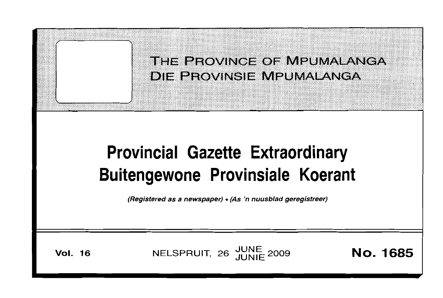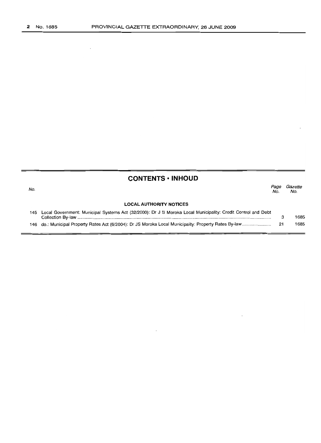$\bar{\mathcal{A}}$ 

# **CONTENTS ·INHOUD**

| No. |                                                                                                                  | Page<br>No. | Gazette<br>No. |
|-----|------------------------------------------------------------------------------------------------------------------|-------------|----------------|
|     | <b>LOCAL AUTHORITY NOTICES</b>                                                                                   |             |                |
|     | 145 Local Government: Municipal Systems Act (32/2000): Dr J S Moroka Local Municipality: Credit Control and Debt |             | 1685           |
|     |                                                                                                                  |             | 1685           |

 $\ddot{\phantom{a}}$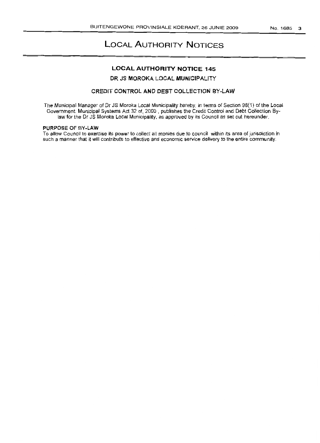# LOCAL AUTHORITY NOTICES

## LOCAL AUTHORITY NOTICE 145

#### DR JS MOROKA LOCAL MUNICIPALITY

## CREDIT CONTROL AND DEBT COLLECTION BY-LAW

The Municipal Manager of Dr JS Moroka Local Municipality hereby, in terms of Section 98(1) of the Local Government Municipal Systems Act 32 of, 2000 , publishes the Credit Control and Debt Collection Bylaw for the Dr JS Moroka Local Municipality, as approved by its Council as set out hereunder.

#### PURPOSE OF BY.LAW

To allow Council to exercise its power to collect all monies due to council within its area of jurisdiction in such a manner that it will contribute to effective and economic service delivery to the entire community.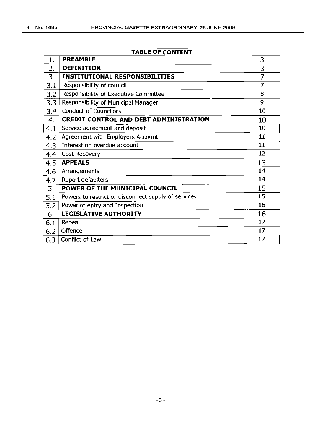| <b>TABLE OF CONTENT</b> |                                                     |    |  |  |
|-------------------------|-----------------------------------------------------|----|--|--|
| 1.                      | <b>PREAMBLE</b>                                     | 3  |  |  |
| 2.                      | <b>DEFINITION</b>                                   | 3  |  |  |
| 3.                      | <b>INSTITUTIONAL RESPONSIBILITIES</b>               | 7  |  |  |
| 3.1                     | Responsibility of council                           | 7  |  |  |
| 3.2                     | Responsibility of Executive Committee               | 8  |  |  |
| 3.3                     | Responsibility of Municipal Manager                 | 9  |  |  |
| 3.4                     | <b>Conduct of Councilors</b>                        | 10 |  |  |
| 4.                      | <b>CREDIT CONTROL AND DEBT ADMINISTRATION</b>       | 10 |  |  |
| 4.1                     | Service agreement and deposit                       | 10 |  |  |
| 4.2                     | Agreement with Employers Account                    | 11 |  |  |
| 4.3                     | Interest on overdue account                         | 11 |  |  |
| 4.4                     | Cost Recovery                                       | 12 |  |  |
| 4.5                     | <b>APPEALS</b>                                      | 13 |  |  |
| 4.6                     | Arrangements                                        | 14 |  |  |
| 4.7                     | Report defaulters                                   | 14 |  |  |
| 5.                      | POWER OF THE MUNICIPAL COUNCIL                      | 15 |  |  |
| 5.1                     | Powers to restrict or disconnect supply of services | 15 |  |  |
| 5.2                     | Power of entry and Inspection                       | 16 |  |  |
| 6.                      | <b>LEGISLATIVE AUTHORITY</b>                        | 16 |  |  |
| 6.1                     | Repeal                                              | 17 |  |  |
| 6.2                     | Offence                                             | 17 |  |  |
| 6.3                     | Conflict of Law                                     | 17 |  |  |

 $\cdot$ 

 $\ddot{\phantom{a}}$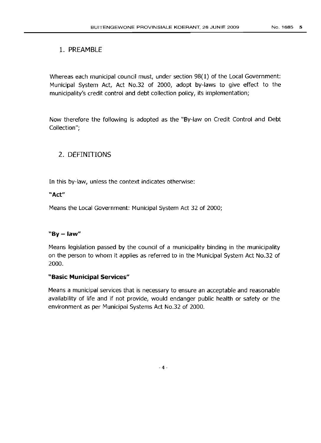# 1. PREAMBLE

Whereas each municipal council must, under section 98(1) of the Local Government: Municipal System Act, Act No.32 of 2000, adopt by-laws to give effect to the municipality's credit control and debt collection policy, its implementation;

Now therefore the following is adopted as the "By-law on Credit Control and Debt Collection";

# 2. DEFINITIONS

In this by-law, unless the context indicates otherwise:

# "Act"

Means the Local Government: Municipal System Act 32 of 2000;

# "By  $-$  law"

Means legislation passed by the council of a municipality binding in the municipality on the person to whom it applies as referred to in the Municipal System Act No.32 of 2000.

## "Basic **Municipal** Services"

Means a municipal services that is necessary to ensure an acceptable and reasonable availability of life and if not provide, would endanger public health or safety or the environment as per Municipal Systems Act NO.32 of 2000.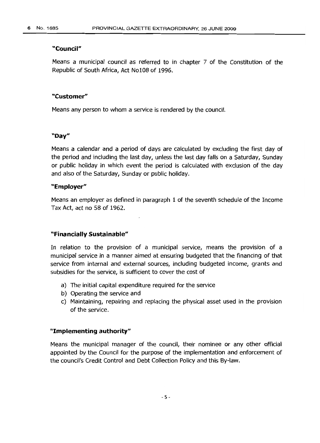### **"Council"**

Means a municipal council as referred to in chapter 7 of the Constitution of the Republic of South Africa, Act Nol08 of 1996.

## **"Customer"**

Means any person to whom a service is rendered by the council.

## **"Day"**

Means a calendar and a period of days are calculated by excluding the first day of the period and including the last day, unless the last day falls on a Saturday, Sunday or public holiday in which event the period is calculated with exclusion of the day and also of the Saturday, Sunday or public holiday.

#### **"Employer"**

Means an employer as defined in paragraph 1 of the seventh schedule of the Income Tax Act, act no 58 of 1962.

## **"Financially Sustainable"**

In relation to the provision of a municipal service, means the provision of a municipal service in a manner aimed at ensuring budgeted that the financing of that service from internal and external sources, including budgeted income, grants and subsidies for the service, is sufficient to cover the cost of

- a) The initial capital expenditure required for the service
- b) Operating the service and
- c) Maintaining, repairing and replacing the physical asset used in the provision of the service.

## "Implementing authority"

Means the municipal manager of the council, their nominee or any other official appointed by the Council for the purpose of the implementation and enforcement of the council's Credit Control and Debt Collection Policy and this By-law.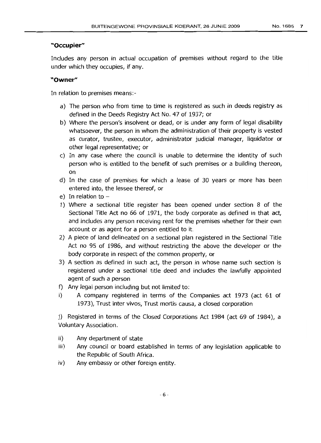## **"Occupier"**

Includes any person in actual occupation of premises without regard to the title under which they occupies, if any.

# **"Owner"**

In relation to premises means:-

- a) The person who from time to time is registered as such in deeds registry as defined in the Deeds Registry Act No. 47 of 1937; or
- b) Where the person's insolvent or dead, or is under any form of legal disability whatsoever, the person in whom the administration of their property is vested as curator, trustee, executor, administrator judicial manager, liquidator or other legal representative; or
- c) In any case where the council is unable to determine the identity of such person who is entitled to the benefit of such premises or a building thereon, on
- d) In the case of premises for which a lease of 30 years or more has been entered into, the lessee thereof, or
- e) In relation to  $-$
- 1) Where a sectional title register has been opened under section 8 of the Sectional Title Act no 66 of 1971, the body corporate as defined in that act, and includes any person receiving rent for the premises whether for their own account or as agent for a person entitled to it.
- 2) A piece of land delineated on a sectional plan registered in the Sectional Title Act no 95 of 1986, and without restricting the above the developer or the body corporate in respect of the common property, or
- 3) A section as defined in such act, the person in whose name such section is registered under a sectional title deed and includes the lawfully appointed agent of such a person
- f) Any legal person including but not limited to:
- i) A company registered in terms of the Companies act 1973 (act 61 of 1973), Trust inter vivos, Trust mortis causa, a closed corporation

j) Registered in terms of the Closed Corporations Act 1984 (act 69 of 1984), a Voluntary Association.

- ii) Any department of state
- iii) Any council or board established in terms of any legislation applicable to the Republic of South Africa.
- iv) Any embassy or other foreign entity.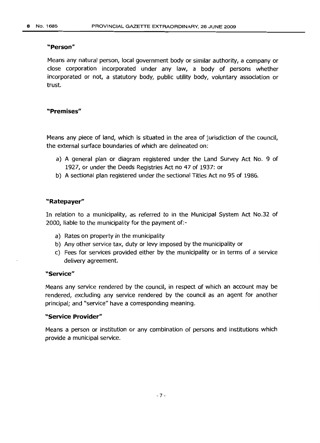## **"Person"**

Means any natural person, local government body or similar authority, a company or close corporation incorporated under any law, a body of persons whether incorporated or not, a statutory body, public utility body, voluntary association or trust.

## **"Premises"**

Means any piece of land, which is situated in the area of jurisdiction of the council, the external surface boundaries of which are delineated on:

- a) A general plan or diagram registered under the Land Survey Act No. 9 of 1927, or under the Deeds Registries Act no 47 of 1937: or
- b) A sectional plan registered under the sectional Titles Act no 95 of 1986.

## **"Ratepayer"**

In relation to a municipality, as referred to in the Municipal System Act No.32 of 2000, liable to the municipality for the payment of:-

- a) Rates on property in the municipality
- b) Any other service tax, duty or levy imposed by the municipality or
- c) Fees for services provided either by the municipality or in terms of a service delivery agreement.

#### **"Service"**

Means any service rendered by the council, in respect of which an account may be rendered, excluding any service rendered by the council as an agent for another principal; and "service" have a corresponding meaning.

#### **"Service Provider"**

Means a person or institution or any combination of persons and institutions which provide a municipal service.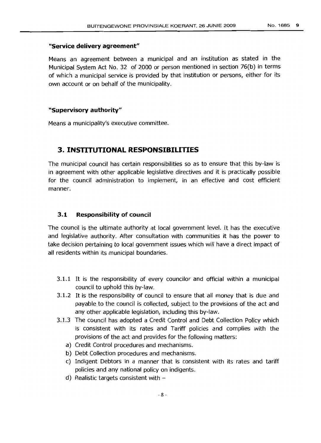## **"Service delivery agreement"**

Means an agreement between a municipal and an institution as stated in the Municipal System Act No. 32 of 2000 or person mentioned in section 76(b) in terms of which a municipal service is provided by that institution or persons, either for its own account or on behalf of the municipality.

## **"Supervisory authority"**

Means a municipality's executive committee.

# **3. INSTITUTIONAL RESPONSIBILITIES**

The municipal council has certain responsibilities so as to ensure that this by-law is in agreement with other applicable legislative directives and it is practically possible for the council administration to implement, in an effective and cost efficient manner.

#### **3.1 Responsibility of council**

The council is the ultimate authority at local government level. It has the executive and legislative authority. After consultation with communities it has the power to take decision pertaining to local government issues which will have a direct impact of all residents within its municipal boundaries.

- 3.1.1 It is the responsibility of every councilor and official within a municipal council to uphold this by-law.
- 3.1.2 It is the responsibility of council to ensure that all money that is due and payable to the council is collected, subject to the provisions of the act and any other applicable legislation, including this by-law.
- 3.1.3 The council has adopted a Credit Control and Debt Collection Policy which is consistent with its rates and Tariff policies and complies with the provisions of the act and provides for the following matters:
	- a) Credit Control procedures and mechanisms.
	- b) Debt Collection procedures and mechanisms.
	- c) Indigent Debtors in a manner that is consistent with its rates and tariff policies and any national policy on indigents.
	- d) Realistic targets consistent with -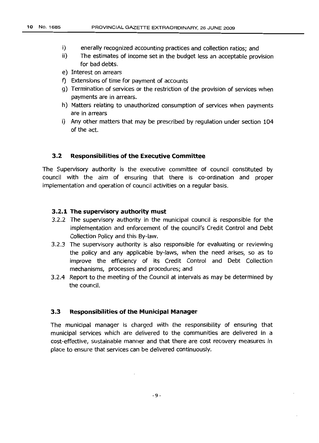- i) enerally recognized accounting practices and collection ratios; and
- ii) The estimates of income set in the budget less an acceptable provision for bad debts.
- e) Interest on arrears
- f) Extensions of time for payment of accounts
- g) Termination of services or the restriction of the provision of services when payments are in arrears.
- h) Matters relating to unauthorized consumption of services when payments are in arrears
- i) Any other matters that may be prescribed by regulation under section 104 of the act.

## **3.2 Responsibilities of the Executive Committee**

The Supervisory authority is the executive committee of council constituted by council with the aim of ensuring that there is co-ordination and proper implementation and operation of council activities on a regular basis.

## **3.2.1 The supervisory authority must**

- 3.2.2 The supervisory authority in the municipal council is responsible for the implementation and enforcement of the council's Credit Control and Debt Collection Policy and this By-law.
- 3.2.3 The supervisory authority is also responsible for evaluating or reviewing the policy and any applicable by-laws, when the need arises, so as to improve the efficiency of its Credit Control and Debt Collection mechanisms, processes and procedures; and
- 3.2.4 Report to the meeting of the Council at intervals as may be determined by the council.

#### **3.3 Responsibilities of the Municipal Manager**

The municipal manager is charged with the responsibility of ensuring that municipal services which are delivered to the communities are delivered in a cost-effective, sustainable manner and that there are cost recovery measures in place to ensure that services can be delivered continuously.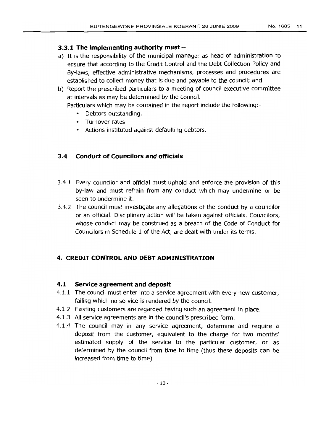# **3.3.1 The implementing authority must-**

a) It is the responsibility of the municipal manager as head of administration to ensure that according to the Credit Control and the Debt Collection Policy and By-laws, effective administrative mechanisms, processes and procedures are established to collect money that is due and payable to the council; and

b) Report the prescribed particulars to a meeting of council executive committee at intervals as may be determined by the council.

Particulars which may be contained in the report include the following:-

- Debtors outstanding,
- Turnover rates
- Actions instituted against defaulting debtors.

# **3.4 Conduct of Councilors and officials**

- 3.4.1 Every councilor and official must uphold and enforce the provision of this by-law and must refrain from any conduct which may undermine or be seen to undermine it.
- 3.4.2 The council must investigate any allegations of the conduct by a councilor or an official. Disciplinary action will be taken against officials. Councilors, whose conduct may be construed as a breach of the Code of Conduct for Councilors in Schedule 1 of the Act, are dealt with under its terms.

# **4. CREDIT CONTROL AND DEBT ADMINISTRATION**

# **4.1 Service agreement and deposit**

- 4.1.1 The council must enter into a service agreement with every new customer, failing which no service is rendered by the council.
- 4.1.2 Existing customers are regarded having such an agreement in place.
- 4.1.3 All service agreements are in the council's prescribed form.
- 4.1.4 The council may in any service agreement, determine and require a deposit from the customer, equivalent to the charge for two months' estimated supply of the service to the particular customer, or as determined by the council from time to time (thus these deposits can be increased from time to time)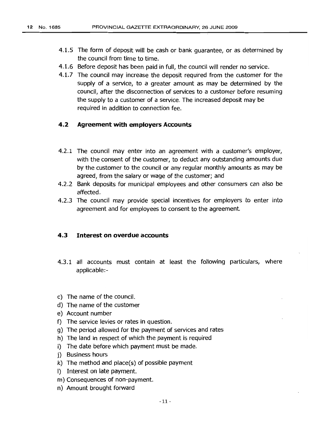- 4.1.5 The form of deposit will be cash or bank guarantee, or as determined by the council from time to time.
- 4.1.6 Before deposit has been paid in full, the council will render no service.
- 4.1.7 The council may increase the deposit required from the customer for the supply of a service, to a greater amount as may be determined by the council, after the disconnection of services to a customer before resuming the supply to a customer of a service. The increased deposit may be required in addition to connection fee.

## **4.2 Agreement with employers Accounts**

- 4.2.1 The council may enter into an agreement with a customer's employer, with the consent of the customer, to deduct any outstanding amounts due by the customer to the council or any regular monthly amounts as may be agreed, from the salary or wage of the customer; and
- 4.2.2 Bank deposits for municipal employees and other consumers can also be affected.
- 4.2.3 The council may provide special incentives for employers to enter into agreement and for employees to consent to the agreement.

## **4.3 Interest on overdue accounts**

- 4.3.1 all accounts must contain at least the following particulars, where applicable:-
- c) The name of the council.
- d) The name of the customer
- e) Account number
- f) The service levies or rates in question.
- g) The period allowed for the payment of services and rates
- h) The land in respect of which the payment is required
- i) The date before which payment must be made.
- j) Business hours
- k) The method and place(s) of possible payment
- I) Interest on late payment.
- m) Consequences of non-payment.
- n) Amount brought forward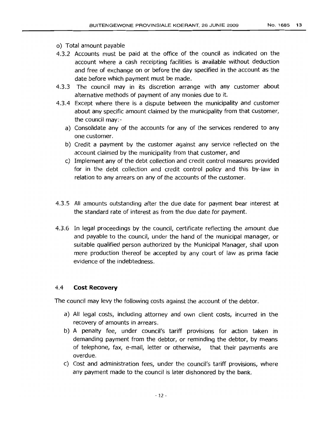- 0) Total amount payable
- 4.3.2 Accounts must be paid at the office of the council as indicated on the account where a cash receipting facilities is available without deduction and free of exchange on or before the day specified in the account as the date before which payment must be made.
- 4.3.3 The council may in its discretion arrange with any customer about alternative methods of payment of any monies due to it.
- 4.3.4 Except where there is a dispute between the municipality and customer about any specific amount claimed by the municipality from that customer, the council may:
	- a) Consolidate any of the accounts for any of the services rendered to any one customer.
	- b) Credit a payment by the customer against any service reflected on the account claimed by the municipality from that customer, and
	- c) Implement any of the debt collection and credit control measures provided for in the debt collection and credit control policy and this by-law in relation to any arrears on any of the accounts of the customer.
- 4.3.5 All amounts outstanding after the due date for payment bear interest at the standard rate of interest as from the due date for payment.
- 4.3.6 In legal proceedings by the council, certificate reflecting the amount due and payable to the council, under the hand of the municipal manager, or suitable qualified person authorized by the Municipal Manager, shall upon mere production thereof be accepted by any court of law as prima facie evidence of the indebtedness.

## 4.4 **Cost Recovery**

The council may levy the following costs against the account of the debtor.

- a) All legal costs, including attorney and own client costs, incurred in the recovery of amounts in arrears.
- b) A penalty fee, under council's tariff provisions for action taken in demanding payment from the debtor, or reminding the debtor, by means of telephone, fax, e-mail, letter or otherwise, that their payments are overdue.
- c) Cost and administration fees, under the council's tariff provisions, where any payment made to the council is later dishonored by the bank.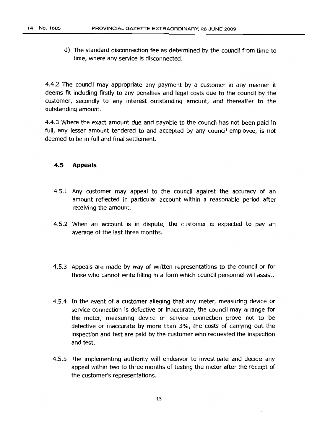d) The standard disconnection fee as determined by the council from time to time, where any service is disconnected.

4.4.2 The council may appropriate any payment by a customer in any manner it deems fit including firstly to any penalties and legal costs due to the council by the customer, secondly to any interest outstanding amount, and thereafter to the outstanding amount.

4.4.3 Where the exact amount due and payable to the council has not been paid in full, any lesser amount tendered to and accepted by any council employee, is not deemed to be in full and final settlement.

# **4.5 Appeals**

- 4.5.1 Any customer may appeal to the council against the accuracy of an amount reflected in particular account within a reasonable period after receiving the amount.
- 4.5.2 When an account is in dispute, the customer is expected to pay an average of the last three months.
- 4.5.3 Appeals are made by way of written representations to the council or for those who cannot write filling in a form which council personnel will assist.
- 4.5.4 In the event of a customer alleging that any meter, measuring device or service connection is defective or inaccurate, the council may arrange for the meter, measuring device or service connection prove not to be defective or inaccurate by more than 3%, the costs of carrying out the inspection and test are paid by the customer who requested the inspection and test.
- 4.5.5 The implementing authority will endeavor to investigate and decide any appeal within two to three months of testing the meter after the receipt of the customer's representations.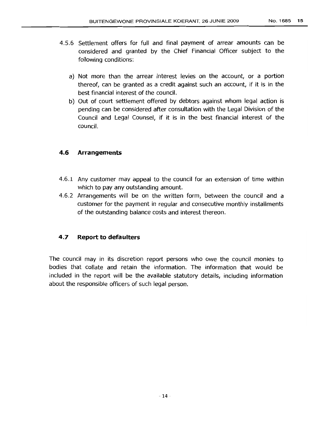- 4.5.6 Settlement offers for full and final payment of arrear amounts can be considered and granted by the Chief Financial Officer subject to the following conditions:
	- a) Not more than the arrear interest levies on the account, or a portion thereof, can be granted as a credit against such an account, if it is in the best financial interest of the council.
	- b) Out of court settlement offered by debtors against whom legal action is pending can be considered after consultation with the Legal Division of the Council and Legal Counsel, if it is in the best financial interest of the council.

## **4.6 Arrangements**

- 4.6.1 Any customer may appeal to the council for an extension of time within which to pay any outstanding amount.
- 4.6.2 Arrangements will be on the written form, between the council and a customer for the payment in regular and consecutive monthly installments of the outstanding balance costs and interest thereon.

# **4.7 Report to defaulters**

The council may in its discretion report persons who owe the council monies to bodies that collate and retain the information. The information that would be included in the report will be the available statutory details, including information about the responsible officers of such legal person.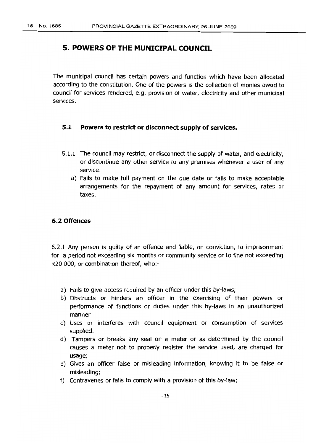# **5. POWERS OF THE MUNICIPAL COUNCIL**

The municipal council has certain powers and function which have been allocated according to the constitution. One of the powers is the collection of monies owed to council for services rendered, e.g. provision of water, electricity and other municipal services.

## **5.1 Powers to restrict or disconnect supply of services.**

- 5.1.1 The council may restrict, or disconnect the supply of water, and electricity, or discontinue any other service to any premises whenever a user of any service:
	- a) Fails to make full payment on the due date or fails to make acceptable arrangements for the repayment of any amount for services, rates or taxes.

## **6.2 Offences**

6.2.1 Any person is guilty of an offence and liable, on conviction, to imprisonment for a period not exceeding six months or community service or to fine not exceeding R2Q 000, or combination thereof, who:-

- a) Fails to give access required by an officer under this by-laws;
- b) Obstructs or hinders an officer in the exercising of their powers or performance of functions or duties under this by-laws in an unauthorized manner
- c) Uses or interferes with council equipment or consumption of services supplied.
- d) Tampers or breaks any seal on a meter or as determined by the council causes a meter not to properly register the service used, are charged for usage;
- e) Gives an officer false or misleading information, knowing it to be false or misleading;
- f) Contravenes or fails to comply with a provision of this by-law;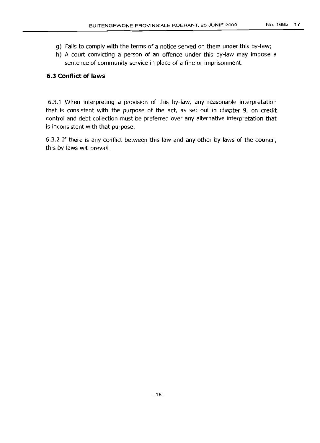- g) Fails to comply with the terms of a notice served on them under this by-law;
- h) A court convicting a person of an offence under this by-law may impose a sentence of community service in place of a fine or imprisonment.

## **6.3 Conflict of laws**

6.3.1 When interpreting a provision of this by-law, any reasonable interpretation that is consistent with the purpose of the act, as set out in chapter 9, on credit control and debt collection must be preferred over any alternative interpretation that is inconsistent with that purpose.

6.3.2 If there is any conflict between this law and any other by-laws of the council, this by-laws will prevail.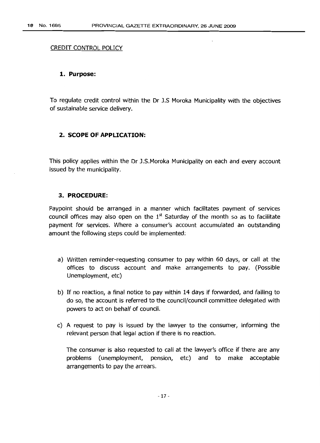## CREDIT CONTROL POLICY

#### **1. Purpose:**

To regulate credit control within the Dr J.S Moroka Municipality with the objectives of sustainable service delivery.

#### **2. SCOPE OF APPLICATION:**

This policy applies within the Dr J.S.Moroka Municipality on each and every account issued by the municipality.

## **3. PROCEDURE:**

Paypoint should be arranged in a manner which facilitates payment of services council offices may also open on the  $1<sup>st</sup>$  Saturday of the month so as to facilitate payment for services. Where a consumer's account accumulated an outstanding amount the followinq steps could be implemented:

- a) Written reminder-requesting consumer to pay within 60 days, or call at the offices to discuss account and make arrangements to pay. (Possible Unemployment, etc)
- b) If no reaction, a final notice to pay within 14 days if forwarded, and failing to do so, the account is referred to the council/council committee delegated with powers to act on behalf of council.
- c) A request to pay is issued by the lawyer to the consumer, informing the relevant person that legal action if there is no reaction.

The consumer is also requested to call at the lawyer's office if there are any problems (unemployment, pension, etc) and to make acceptable arrangements to pay the arrears.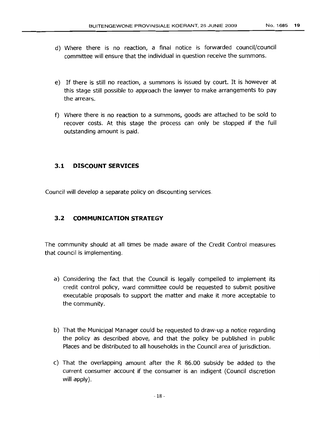- d) Where there is no reaction, a final notice is forwarded council/council committee will ensure that the individual in question receive the summons.
- e) If there is still no reaction, a summons is issued by court. It is however at this stage still possible to approach the lawyer to make arrangements to pay the arrears.
- f) Where there is no reaction to a summons, goods are attached to be sold to recover costs. At this stage the process can only be stopped if the full outstanding amount is paid.

## **3.1 DISCOUNT SERVICES**

Council will develop a separate policy on discounting services.

## **3.2 COMMUNICATION STRATEGY**

The community should at all times be made aware of the Credit Control measures that council is implementing.

- a) Considering the fact that the Council is legally compelled to implement its credit control policy, ward committee could be requested to submit positive executable proposals to support the matter and make it more acceptable to the community.
- b) That the Municipal Manager could be requested to draw-up a notice regarding the policy as described above, and that the policy be published in public Places and be distributed to all households in the Council area of jurisdiction.
- c) That the overlapping amount after the R 86.00 subsidy be added to the current consumer account if the consumer is an indigent (Council discretion will apply).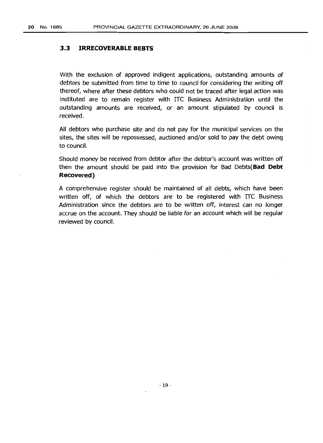## **3.3 IRRECOVERABLE BEBTS**

With the exclusion of approved indigent applications, outstanding amounts of debtors be submitted from time to time to council for considering the writing off thereof, where after these debtors who could not be traced after legal action was instituted are to remain register with ITC Business Administration until the outstanding amounts are received, or an amount stipulated by council is received.

All debtors who purchase site and do not pay for the municipal services on the sites, the sites will be repossessed, auctioned and/or sold to pay the debt owing to council.

Should money be received from debtor after the debtor's account was written off then the amount should be paid into the provision for Bad Debts(Bad **Debt Recovered)**

A comprehensive register should be maintained of all debts, which have been written off, of which the debtors are to be registered with ITC Business Administration since the debtors are to be written off, interest can no longer accrue on the account. They should be liable for an account which will be regular reviewed by council.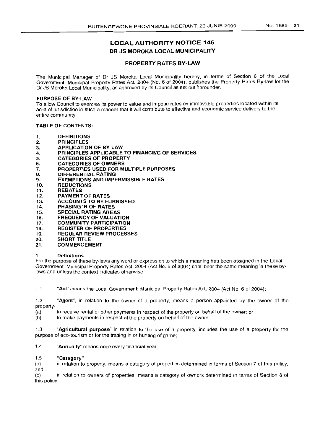# LOCAL AUTHORITY NOTICE 146 DR JS MOROKA LOCAL MUNICIPALITY

#### PROPERTY RATES BY-LAW

The Municipal Manager of Dr JS Moroka Local Municipality hereby, in terms of Section 6 of the Local Government: Municipal Property Rates Act, 2004 (No.6 of 2004), publishes the Property Rates By-law for the Dr JS Moroka Local Municipality, as approved by its Council as set out hereunder.

#### PURPOSE OF BY-LAW

To allow Council to exercise its power to value and impose rates on immovable properties located within its area of jurisdiction in such a manner that it will contribute to effective and economic service delivery to the entire community.

#### TABLE OF CONTENTS:

- 1. DEFINITIONS
- 2. PRINCIPLES
- 3. APPLICATION OF BY-LAW
- 4. PRINCIPLES APPLICABLE TO FINANCING OF SERVICES
- 5. CATEGORIES OF PROPERTY
- 6. CATEGORIES OF OWNERS
- 7. PROPERTIES USED FOR MULTIPLE PURPOSES
- B. DIFFERENTIAL RATING
- 9. EXEMPTIONS AND IMPERMISSIBLE RATES
- 10. REDUCTIONS
- 11. REBATES
- 12. PAYMENT OF RATES
- 13. ACCOUNTS TO BE FURNISHED
- 14. PHASING IN OF RATES
- 15. SPECIAL RATING AREAS
- 16. FREQUENCY OF VALUATION
- 17. COMMUNITY PARTICIPATION
- 18. REGISTER OF PROPERTIES<br>19. REGULAR REVIEW PROCES
- **REGULAR REVIEW PROCESSES**
- 20. SHORT TITLE
- 21. COMMENCEMENT

#### 1. Definitions

For the purpose of these by-laws any word or expression to which a meaning has been assigned in the Local Government: Municipal Property Rates Act, 2004 (Act NO.6 of 2004) shall bear the same meaning in these bylaws and unless the context indicates otherwise-

1.1 "Act" means the Local Government: Municipal Property Rates Act, 2004 (Act No. 6 of 2004);

1.2 "Agent", in relation to the owner of a property, means a person appointed by the owner of the property-

(a) to receive rental or other payments in respect of the property on behalf of the owner; or

(b) to make payments in respect of the property on behalf of the owner;

1.3 "Agricultural purpose" in relation to the use of a property, includes the use of a property for the purpose of eco-tourism or for the trading in or hunting of game;

1.4 "Annually" means once every financial year;

#### "Category" 1.5

in relation to property, means a category of properties determined in terms of Section 7 of this policy; (a) and

(b) in relation to owners of properties, means a category of owners determined in terms of Section 8 of this policy.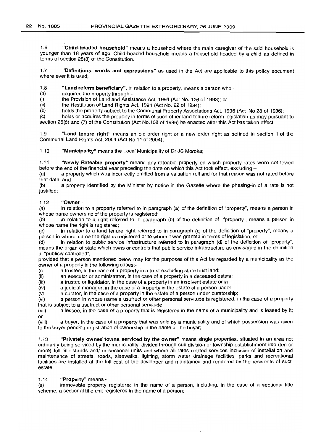1.6 "Child-headed household" means a household where the main caregiver of the said household is younger than 18 years of age. Child-headed household means a household headed by a child as defined in terms of section 28(3) of the Constitution.

1.7 "Definitions, words and expressions" as used in the Act are applicable to this policy document where ever it is used;

1.8 "Land reform beneficiary", in relation to a property, means a person who -  $\sim$  acquired the property through -

acquired the property through -

(i) the Provision of Land and Assistance Act, 1993 (Act No. 126 of 1993); or

 $(ii)$  the Restitution of Land Rights Act, 1994 (Act No. 22 of 1994);

(b) holds the property subject to the Communal Property Associations Act, 1996 (Act No 28 of 1996);

(c) holds or acquires the property in terms of such other land tenure reform legislation as may pursuant to section 25(6) and (7) of the Constitution (Act No.108 of 1996) be enacted after this Act has taken effect;

1.9 "Land tenure right" means an old order right or a new order right as defined in section 1 of the Communal Land Rights Act, 2004 (Act No.11 of 2004);

1.10 "Municipality" means the Local Municipality of Dr JS Moroka;

1.11 "Newly Rateable property" means any rateable property on which property rates were not levied before the end of the financial year preceding the date on which this Act took effect, excluding -

(a) a property which was incorrectly omitted from a valuation roll and for that reason was not rated before that date; and

(b) a property identified by the Minister by notice in the Gazette where the phasing-in of a rate is not justified:

#### 1.12 "Owner"-

(a) in relation to a property referred to in paragraph (a) of the definition of "property", means a person in whose name ownership of the property is registered;

(b) in relation to a right referred to in paragraph (b) of the definition of "property", means a person in whose name the right is registered;

(c) in relation to a land tenure right referred to in paragraph (c) of the definition of "property", means a person in whose name the right is registered or to whom it was granted in terms of legislation; or

(d) in relation to public service infrastructure referred to in paragraph (d) of the definition of "property", means the organ of state which owns or controls that public service infrastructure as envisaged in the definition of "publicly controlled",

provided that a person mentioned below may for the purposes of this Act be regarded by a municipality as the owner of a property in the following cases:-

(i) a trustee, in the case of a property in a trust excluding state trust land;

(ii) an executor or administrator, in the case of a property in a deceased estate;

(iii) a trustee or liquidator, in the case of a property in an insolvent estate or in

(iv) a judicial manager, in the case of a property in the estate of a person under

(v) a curator, in the case of a property in the estate of a person under curatorship;

(vi) a person in whose name a usufruct or other personal servitude is registered, in the case of a property

that is subject to a usufruct or other personal servitude;<br>(vii) a lessee, in the case of a property that is reg a lessee, in the case of a property that is registered in the name of a municipality and is leased by it; or

(Viii) a buyer, in the case of a property that was sold by a municipality and of which possession was given to the buyer pending registration of ownership in the name of the buyer;

1.13 "Privately owned towns serviced by the owner" means single properties, situated in an area not ordinarily being serviced by the municipality, divided through sub division or township establishment into (ten or more) full title stands and/ or sectional units and where all rates related services inclusive of installation and maintenance of streets, roads, sidewalks, lighting, storm water drainage facilities, parks and recreational facilities are installed at the full cost of the developer and maintained and rendered by the residents of such estate.

#### 1.14 "Property" means -

(a) immovable property registered in the name of a person, including, in the case of a sectional title scheme, a sectional title unit registered in the name of a person;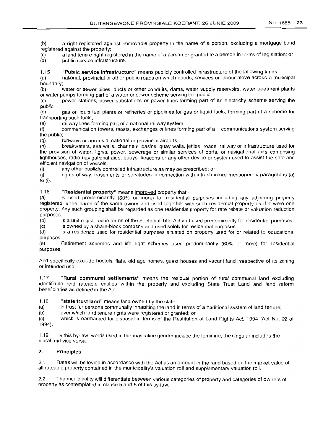(b) a right registered against immovable property in the name of a person, excluding a mortgage bond registered against the property;

(c) a land tenure right registered in the name of a person or granted to a person in terms of legislation; or (d) public service infrastructure.

1.15 **"Public service infrastructure"** means publicly controlled infrastructure of the following kinds:

(a) national, provincial or other public roads on which goods, services or labour move across a municipal boundary;

(b) water or sewer pipes, ducts or other conduits, dams, water supply reservoirs, water treatment plants or water pumps forming part of a water or sewer scheme serving the public;

(c) power stations, power substations or power lines forming part of an electricity scheme serving the public;

(d) gas or liquid fuel plants or refineries or pipelines for gas or liquid fuels, forming part of a scheme for transporting such fuels;

(e) railway lines forming part of a national railway system;

(f) communication towers, masts, exchanges or lines forming part of a communications system serving the public;

(g) runways or aprons at national or provincial airports;

(h) breakwaters, sea walls, channels, basins, quay walls, jetties, roads, railway or infrastructure used for the provision of water, lights, power, sewerage or similar services of ports, or navigational aids comprising lighthouses, radio navigational aids, buoys, beacons or any other device or system used to assist the safe and efficient navigation of vessels;<br>(i) any other publicly co

any other publicly controlled infrastructure as may be prescribed; or

Q) rights of way, easements or servitudes in connection with infrastructure mentioned in paragraphs (a) to (i).

1.16 **"Residential property"** means improved property that:-

(a) is used predominantly (60% or more) for residential purposes including any adjoining property registered in the name of the same owner and used together with such residential property as if it were one property. Any such grouping shall be regarded as one residential property for rate rebate or valuation reduction purposes.

(b) Is a unit registered in terms of the Sectional Title Act and used predominantly for residential purposes.

(c) Is owned by a share-block company and used solely for residential purposes.

(d) Is a residence used for residential purposes situated on property used for or related to educational purposes.

(e) Retirement schemes and life right schemes used predominantly (60% or more) for residential purposes.

And specifically exclude hostels, flats, old age homes, guest houses and vacant land irrespective of its zoning or intended use.

1.17 **"Rural communal settlements"** means the residual portion of rural communal land excluding identifiable and rateable entities within the property and excluding State Trust Land and land reform beneficiaries as defined in the Act.

1.18 **"state trust land"** means land owned by the state-

(a) in trust for persons communally inhabiting the land in terms of a traditional system of land tenure;

(b) over which land tenure rights were registered or granted; or

(c) 1994). which is earmarked for disposal in terms of the Restitution of Land Rights Act, 1994 (Act No. 22 of

1.19 In this by-law, words used in the masculine gender include the feminine, the singular includes the plural and vice versa.

#### 2. **Principles**

2.1 Rates will be levied in accordance with the Act as an amount in the rand based on the market value of all rateable property contained in the municipality's valuation roll and supplementary valuation roll.

2.2 The municipality will differentiate between various categories of property and categories of owners of property as contemplated in clause 5 and 6 of this by-law.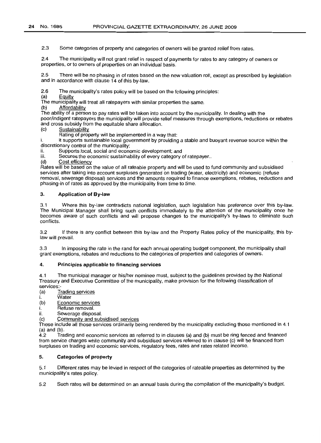2.3 Some categories of property and categories of owners will be granted relief from rates.

2.4 The municipality will not grant relief in respect of payments for rates to any category of owners or properties, or to owners of properties on an individual basis.

2.5 There will be no phasing in of rates based on the new valuation roll, except as prescribed by legislation and in accordance with clause 14 of this by-law.

2.6 The municipality's rates policy will be based on the following principles:

(a) Equity

The municipality will treat all ratepayers with similar properties the same.

(b) Affordability

The ability of a person to pay rates will be taken into account by the municipality. In dealing with the poor/indigent ratepayers the municipality will provide relief measures through exemptions, reductions or rebates and cross subsidy from the equitable share allocation.

(c) Sustainability

Rating of property will be implemented in a way that:

i. it supports sustainable local government by providing a stable and buoyant revenue source within the discretionary control of the municipality;

ii. Supports local, social and economic development; and<br>iii. Secures the economic sustainability of every category

Secures the economic sustainability of every category of ratepayer..

(d) Cost efficiency

Rates will be based on the value of all rateable property and will be used to fund community and subsidised services after taking into account surpluses generated on trading (water, electricity) and economic (refuse removal, sewerage disposal) services and the amounts required to finance exemptions, rebates, reductions and phasing-in of rates as approved by the municipality from time to time.

#### 3. **Application of By-law**

3.1 Where this by-law contradicts national legislation, such legislation has preference over this by-law. The Municipal Manager shall bring such conflicts immediately to the attention of the municipality once he becomes aware of such conflicts and will propose changes to the municipality's by-laws to eliminate such conflicts.

3.2 If there is any conflict between this by-law and the Property Rates policy of the municipality, this bylaw will prevail.

3.3 In imposing the rate in the rand for each annual operating budget component, the municipality shall grant exemptions, rebates and reductions to the categories of properties and categories of owners.

#### 4. **Principles applicable to financing services**

4.1 The municipal manager or his/her nominee must, subject to the guidelines provided by the National Treasury and Executive Committee of the municipality, make provision for the following classification of services:-

(a) Trading services

i. Water

(b) Economic services

- 
- i. Refuse removal.<br>ii Sewerage dispos Sewerage disposal.
- (c) Community and subsidised services

These include all those services ordinarily being rendered by the municipality excluding those mentioned in 4.1 (a) and  $(b)$ .<br>4.2 Tra

4.2 Trading and economic services as referred to in clauses (a) and (b) must be ring fenced and financed from service charges while community and subsidised services referred to in clause (c) will be financed from surpluses on trading and economic services, regulatory fees, rates and rates related income.

#### 5. **Categories of property**

5.1 Different rates may be levied in respect of the categories of rateable properties as determined by the municipality's rates policy.

5.2 Such rates will be determined on an annual basis during the compilation of the municipality's budget.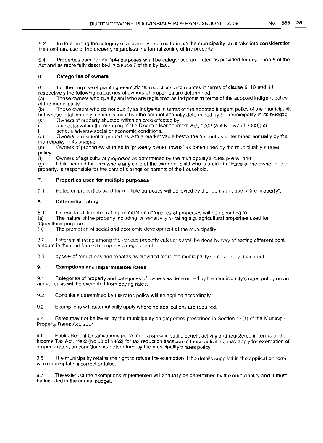5.3 In determining the category of a property referred to in 5.1 the municipality shall take into consideration the dominant use of the property regardless the formal zoning of the property;

5.4 Properties used for multiple purposes shall be categorised and rated as provided for in section 9 of the Act and as more fully described in clause 7 of this by-law.

#### 6. Categories of owners

6.1 For the purpose of granting exemptions, reductions and rebates in terms of clause 9, 10 and 11 respectively the following categories of owners of properties are determined:

(a) Those owners who qualify and who are registered as indigents in terms of the adopted indigent policy of the municipality;

(b) Those owners who do not qualify as indigents in terms of the adopted indigent policy of the municipality but whose total monthly income is less than the amount annually determined by the municipality in its budget;

(c) Owners of property situated within an area affected by-

i. a disaster within the meaning of the Disaster Management Act, 2002 (Act No. 57 of 2002); or

serious adverse social or economic conditions.

(d) Owners of residential properties with a market value below the amount as determined annually by the municipality in its budqet:

(8) Owners of properties situated in "privately owned towns" as determined by the municipality's rates policy;

(f) Owners of agricultural properties as determined by the municipality's rates policy; and

(g) Child headed families where any child of the owner or child who is a blood relative of the owner of the property, is responsible for the care of siblings or parents of the household.

#### 7. Properties used for multiple purposes

7 1 Rates on properties used tor multiple purposes will be levied by the "dominant use of the property".

#### 8. Differential rating

8.1 Criteria for differential rating on different categories of properties will be according to-

(a) The nature of the property including its sensitivity to rating e.g. agricultural properties used for agricultural purposes.

(b) The promotion of social and economic development of the municipality.

82 Differential rating among the various property categories will be done by way of setting different cent amount in the rand for each property category; and

8.3 by way of reductions and rebates as provided for in the municipality's rates policy document.

#### 9. Exemptions and Impermissible Rates

9.1 Categories of property and categories of owners as determined by the municipality's rates policy on an annual basis will be exempted from paying rates.

9.2 Conditions determined by the rates policy will be applied accordingly.

9.3 Exemptions will automatically apply where no applications are required.

9.4 Rates may not be levied by the municipality on properties prescribed in Section 17(1) of the Municipal Property Rates Act, 2004.

9.5 Public Benefit Organisations performing a specific public benefit activity and registered in terms of the Income Tax Act, 1962 (No 58 of 1962) for tax reduction because of those activities, may apply for exemption of property rates, on conditions as determined by the municipality's rates policy.

9.6 The municipality retains the right to refuse the exemption if the details supplied in the application form were incomplete, incorrect or false.

9.7 The extent of the exemptions implemented will annually be determined by the municipality and it must be included in the annual budget.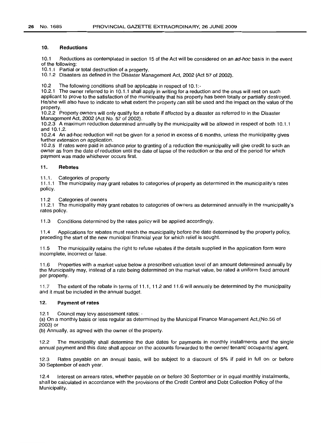#### **10. Reductions**

10.1 Reductions as contemplated in section 15 of the Act will be considered on an ad-hoc basis in the event of the following:

10.1.1 Partial or total destruction of a property.

10.1.2 Disasters as defined in the Disaster Management Act, 2002 (Act 57 of 2002).

10.2 The following conditions shall be applicable in respect of 10.1:-

10.2.1 The owner referred to in 10.1.1 shall apply in writing for a reduction and the onus will rest on such applicant to prove to the satisfaction of the municipality that his property has been totally or partially destroyed. He/she will also have to indicate to what extent the property can still be used and the impact on the value of the property.

10.2.2 Property owners will only qualify for a rebate if affected by a disaster as referred to in the Disaster Management Act, 2002 (Act No. 57 of 2002).

10.2.3 A maximum reduction determined annually by the municipality will be allowed in respect of both 10.1.1 and 10.1.2.

10.2.4 An ad-hoc reduction will not be given for a period in excess of 6 months, unless the municipality gives further extension on application.

10.2.5 If rates were paid in advance prior to granting of a reduction the municipality will give credit to such an owner as from the date of reduction until the date of lapse of the reduction or the end of the period for which payment was made whichever occurs first.

#### **11. Rebates**

11.1. Categories of property<br>11.1.1 The municipality may of

The municipality may grant rebates to categories of property as determined in the municipality's rates policy.

11.2 Categories of owners

11.2.1 The municipality may grant rebates to categories of owners as determined annually in the municipality's rates policy.

11.3 Conditions determined by the rates policy will be applied accordingly.

11.4 Applications for rebates must reach the municipality before the date determined by the property policy, preceding the start of the new municipal financial year for which relief is sought.

11.5 The municipality retains the right to refuse rebates if the details supplied in the application form were incomplete, incorrect or false.

11.6 Properties with a market value below a prescribed valuation level of an amount determined annually by the Municipality may, instead of a rate being determined on the market value, be rated a uniform fixed amount per property.

11.7 The extent of the rebate in terms of 11.1, 11.2 and 11.6 will annually be determined by the municipality and it must be included in the annual budget.

#### **12. Payment of rates**

12.1 Council may levy assessment rates: -

(a) On a monthly basis or less regular as determined by the Municipal Finance Management Act,(No.56 of 2003) or

(b) Annually, as agreed with the owner of the property.

12.2 The municipality shall determine the due dates for payments in monthly installments and the single annual payment and this date shall appear on the accounts forwarded to the owner/ tenant/ occupants/ agent.

12.3 Rates payable on an annual basis, will be subject to a discount of 5% if paid in full on or before 30 September of each year.

12.4 Interest on arrears rates, whether payable on or before 30 September or in equal monthly instalments, shall be calculated in accordance with the provisions of the Credit Control and Debt Collection Policy of the Municipality.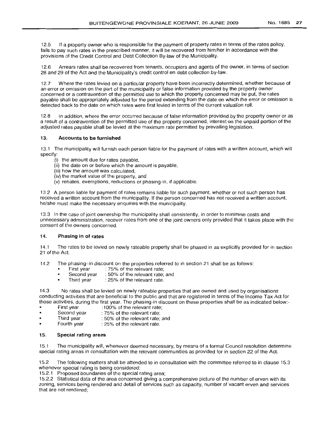12.5 If a property owner who is responsible for the payment of property rates in terms of the rates policy, fails to pay such rates in the prescribed manner, it will be recovered from him/her in accordance with the provisions of the Credit Control and Debt Collection By-law of the Municipality.

12.6 Arrears rates shall be recovered from tenants, occupiers and agents of the owner, in terms of section 28 and 29 of the Act and the Municipality's credit control en debt collection by-law.

12.7 Where the rates levied on a particular property have been incorrectly determined, whether because of an error or omission on the part of the municipality or false information provided by the property owner concerned or a contravention of the permitted use to which the property concerned may be put, the rates payable shall be appropriately adjusted for the period extending from the date on which the error or omission is detected back to the date on which rates were first levied in terms of the current valuation roll.

12.8 In addition, where the error occurred because of false information provided by the property owner or as a result of a contravention of the permitted use of the property concerned, interest on the unpaid portion of the adjusted rates payable shall be levied at the maximum rate permitted by prevailing legislation.

#### 13. Accounts to be furnished

13.1 The municipality will furnish each person liable for the payment of rates with a written account, which will specify:

- (i) the amount due for rates payable,
- (ii) the date on or before which the amount is payable,
- (iii) how the amount was calculated,
- (iv) the market value of the property, and
- (v) rebates, exemptions, reductions or phasing-in, if applicable.

13.2 A person liable for payment of rates remains liable for such payment, whether or not such person has received a written account from the municipality. If the person concerned has not received a written account. he/she must make the necessary enquiries with the municipality.

13.3 In the case of joint ownership the municipality shall consistently, in order to minimise costs and unnecessary administration, recover rates from one of the joint owners only provided that it takes place with the consent of the owners concerned.

#### 14. Phasing in of rates

14.1 The rates to be levied on newly rateable property shall be phased in as explicitly provided for in section 21 of the Act.

14.2 The phasing-in discount on the properties referred to in section 21 shall be as follows:<br>First year:  $75\%$  of the relevant rate:

- First year : 75% of the relevant rate;<br>Second year : 50% of the relevant rate;
- Second year : 50% of the relevant rate; and<br>Third year : 25% of the relevant rate.
- : 25% of the relevant rate.

14.3 No rates shall be levied on newly rateable properties that are owned and used by organisations conducting activities that are beneficial to the public and that are registered in terms of the Income Tax Act for those activities, during the first year. The phasing-in discount on these properties shall be as indicated below:-<br>First year :100% of the relevant rate:

- First year :100% of the relevant rate;<br>Second year : 75% of the relevant rate:
- Second year : 75% of the relevant rate;<br>Third year : 50% of the relevant rate:
- Third year : 50% of the relevant rate; and<br>Fourth year : 25% of the relevant rate.
- $: 25\%$  of the relevant rate.

#### 15. Special rating areas

15.1 The municipality will, whenever deemed necessary, by means of a formal Council resolution determine special rating areas in consultation with the relevant communities as provided for in section 22 of the Act.

15.2 The following matters shall be attended to in consultation with the committee referred to in clause 15.3 whenever special rating is being considered:

15.2.1 Proposed boundaries of the special rating area;

15.2.2 Statistical data of the area concerned giving a comprehensive picture of the number of erven with its zoning, services being rendered and detail of services such as capacity, number of vacant erven and services that are not rendered;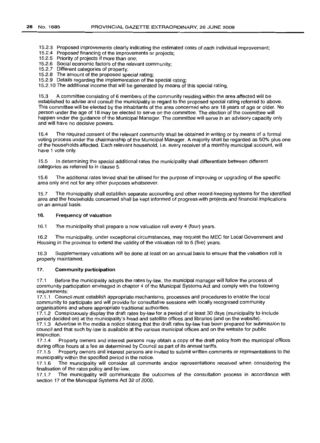15.2.3 Proposed improvements clearly indicating the estimated costs of each individual improvement;

- 15.2.4 Proposed financing of the improvements or projects;
- 15.2.5 Priority of projects if more than one;
- 15.2.6 Social economic factors of the relevant community;
- 15.2.7 Different categories of property;
- 15.2.8 The amount of the proposed special rating;
- 15.2.9 Details regarding the implementation of the special rating;
- 15.2.10 The additional income that will be generated by means of this special rating.

15.3 A committee consisting of 6 members of the community residing within the area affected will be established to advise and consult the municipality in regard to the proposed special rating referred to above. This committee will be elected by the inhabitants of the area concerned who are 18 years of age or older. No person under the age of 18 may be elected to serve on the committee. The election of the committee will happen under the guidance of the Municipal Manager. The committee will serve in an advisory capacity only and will have no decisive powers.

15.4 The required consent of the relevant community shall be obtained in writing or by means of a formal voting process under the chairmanship of the Municipal Manager. A majority shall be regarded as 50% plus one of the households affected. Each relevant household, i.e. every receiver of a monthly municipal account, will have 1 vote only.

15.5 In determining the special additional rates the municipality shall differentiate between different categories as referred to in clause 5.

15.6 The additional rates levied shall be utilised for the purpose of improving or upgrading of the specific area only and not for any other purposes whatsoever.

15.7 The municipality shall establish separate accounting and other record-keeping systems for the identified area and the households concerned shall be kept informed of progress with projects and financial implications on an annual basis.

#### 16. Frequency of valuation

16.1 The municipality shall prepare a new valuation roll every 4 (four) years.

16.2 The municipality, under exceptional circumstances, may request the MEC for Local Government and Housing in the province to extend the validity of the valuation roll to 5 (five) years.

16.3 Supplementary valuations will be done at least on an annual basis to ensure that the valuation roll is properly maintained.

#### 17. Community participation

17.1 Before the municipality adopts the rates by-law, the municipal manager will follow the process of community participation envisaged in chapter 4 of the Municipal Systems Act and comply with the following requirements:

17.1.1 Council must establish appropriate mechanisms, processes and procedures to enable the local community to participate and will provide for consultative sessions with locally recognised community organisations and where appropriate traditional authorities.

17.1.2 Conspicuously display the draft rates by-law for a period of at least 30 days (municipalityto include period decided on) at the municipality's head and satellite offices and libraries (and on the website).

17.1.3 Advertise in the media a notice stating that the draft rates by-law has been prepared for submission to council and that such by-law is available at the various municipal offices and on the website for public inspection.

17.1.4 Property owners and interest persons may obtain a copy of the draft policy from the municipal offices during office hours at a fee as determined by Council as part of its annual tariffs.

17.1.5 Property owners and interest persons are invited to submit written comments or representations to the municipality within the specified period in the notice.<br>17.1.6 The municipality will consider all comme

The municipality will consider all comments and/or representations received when considering the finalisation of the rates policy and by-law.

17.1.7 The municipality will communicate the outcomes of the consultation process in accordance with section 17 of the Municipal Systems Act 32 of 2000.